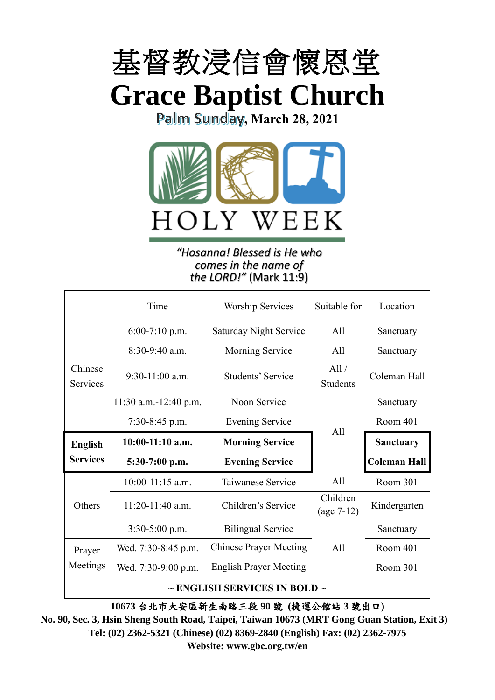

**Grace Baptist Church**

Palm Sunday, March 28, 2021



#### *"Hosanna! Blessed is He who comes in the name of the LORD!"* (Mark 11:9)

|                     | Time                                   | <b>Worship Services</b>       | Suitable for             | Location            |
|---------------------|----------------------------------------|-------------------------------|--------------------------|---------------------|
|                     | $6:00-7:10$ p.m.                       | Saturday Night Service        | All                      | Sanctuary           |
|                     | $8:30-9:40$ a.m.                       | <b>Morning Service</b>        | All                      | Sanctuary           |
| Chinese<br>Services | $9:30-11:00$ a.m.<br>Students' Service |                               | All/<br><b>Students</b>  | Coleman Hall        |
|                     | 11:30 a.m.-12:40 p.m.                  | Noon Service                  |                          | Sanctuary           |
|                     | $7:30-8:45$ p.m.                       | <b>Evening Service</b>        | All                      | Room 401            |
|                     |                                        |                               |                          |                     |
| <b>English</b>      | $10:00-11:10$ a.m.                     | <b>Morning Service</b>        |                          | <b>Sanctuary</b>    |
| <b>Services</b>     | 5:30-7:00 p.m.                         | <b>Evening Service</b>        |                          | <b>Coleman Hall</b> |
|                     | $10:00-11:15$ a.m.                     | Taiwanese Service             | A11                      | Room 301            |
| Others              | $11:20-11:40$ a.m.                     | Children's Service            | Children<br>$(age 7-12)$ | Kindergarten        |
|                     | $3:30-5:00$ p.m.                       | <b>Bilingual Service</b>      |                          | Sanctuary           |
| Prayer              | Wed. 7:30-8:45 p.m.                    | <b>Chinese Prayer Meeting</b> | All                      | Room 401            |
| Meetings            | Wed. 7:30-9:00 p.m.                    | <b>English Prayer Meeting</b> |                          | Room 301            |

**10673** 台北市大安區新生南路三段 **90** 號 **(**捷運公館站 **3** 號出口**)**

**No. 90, Sec. 3, Hsin Sheng South Road, Taipei, Taiwan 10673 (MRT Gong Guan Station, Exit 3) Tel: (02) 2362-5321 (Chinese) (02) 8369-2840 (English) Fax: (02) 2362-7975 Website: [www.gbc.org.tw/en](http://www.gbc.org.tw/en)**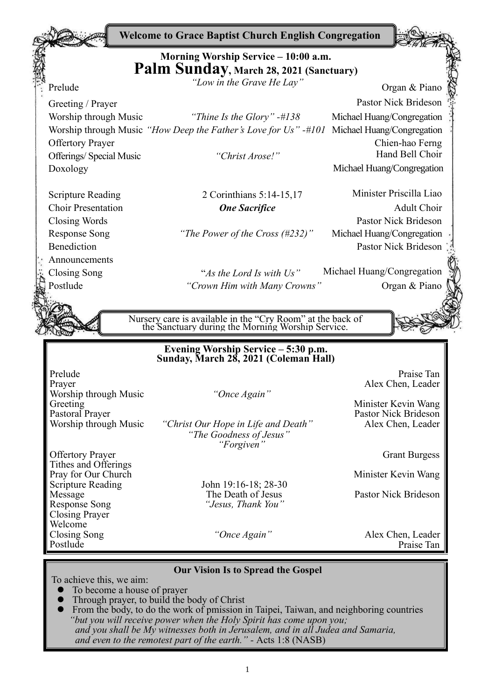**Welcome to Grace Baptist Church English Congregation**

# **Morning Worship Service – 10:00 a.m. Palm Sunday, March 28, 2021 (Sanctuary)**

*"Low in the Grave He Lay"* Organ & Piano"

Prelude

Announcements

Worship through Music *"How Deep the Father's Love for Us" -#101* Michael Huang/Congregation Offertory Prayer Chien-hao Ferng

Response Song *"The Power of the Cross (#232)"* Michael Huang/Congregation

Postlude *"Crown Him with Many Crowns"* Organ & Piano

Greeting / Prayer Pastor Nick Brideson Worship through Music *"Thine Is the Glory" -#138* Michael Huang/Congregation Offerings/ Special Music *"Christ Arose!"* Hand Bell Choir Doxology Michael Huang/Congregation

Scripture Reading 2 Corinthians 5:14-15,17 Minister Priscilla Liao Choir Presentation *One Sacrifice* Adult Choir Closing Words Pastor Nick Brideson Benediction Pastor Nick Brideson

Closing Song "*As the Lord Is with Us"* Michael Huang/Congregation

Nursery care is available in the "Cry Room" at the back of the Sanctuary during the Morning Worship Service.

#### **Evening Worship Service – 5:30 p.m. Sunday, March 28, 2021 (Coleman Hall)**

Prelude Praise Tan Prayer Alex Chen, Leader Music *Chen, Leader Alex Chen, Leader Alex Chen, Leader Alex Chen, Leader* **Worship through Music Greeting** Greeting Minister Kevin Wang<br>Pastoral Prayer Pastor Nick Brideson Pastoral Prayer<br>Worship through Music "Christ Our Hope in Life and Death" Pastor Nick Brideson<br>Alex Chen, Leader

"Christ Our Hope in Life and Death" *"The Goodness of Jesus" "Forgiven"*

Offertory Prayer Grant Burgess and the Community of the Grant Burgess of Grant Burgess Tithes and Offerings Pray for Our Church<br>Scripture Reading John 19:16-18; 28-30<br>Minister Kevin Wang Message The Death of Jesus Pastor Nick Brideson<br>Response Song *"Jesus, Thank You"* Closing Prayer Welcome Closing Song *"Once Again"* Alex Chen, Leader Postlude Praise Tan

John 19:16-18; 28-30<br>The Death of Jesus Response Song *"Jesus, Thank You"*

#### **Our Vision Is to Spread the Gospel**

To achieve this, we aim:

- ⚫ To become a house of prayer
- ⚫ Through prayer, to build the body of Christ
- ⚫ From the body, to do the work of pmission in Taipei, Taiwan, and neighboring countries *"but you will receive power when the Holy Spirit has come upon you; and you shall be My witnesses both in Jerusalem, and in all Judea and Samaria, and even to the remotest part of the earth." -* Acts 1:8 (NASB)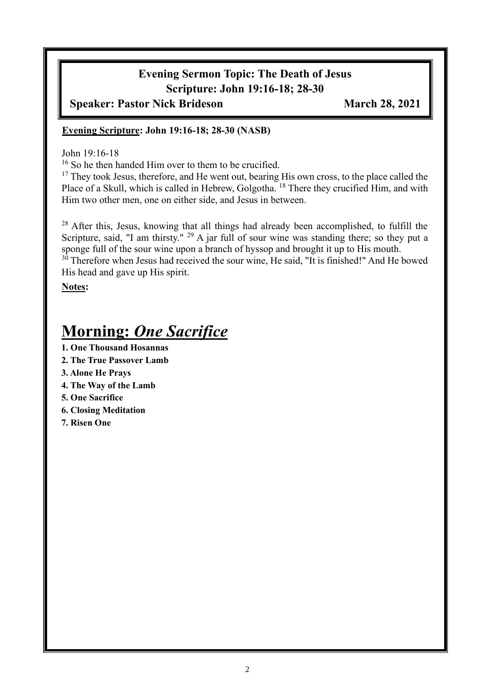# **Evening Sermon Topic: The Death of Jesus Scripture: John 19:16-18; 28-30**

**Speaker: Pastor Nick Brideson March 28, 2021**

#### **Evening Scripture: John 19:16-18; 28-30 (NASB)**

John 19:16-18

<sup>16</sup> So he then handed Him over to them to be crucified.

<sup>17</sup> They took Jesus, therefore, and He went out, bearing His own cross, to the place called the Place of a Skull, which is called in Hebrew, Golgotha.<sup>18</sup> There they crucified Him, and with Him two other men, one on either side, and Jesus in between.

<sup>28</sup> After this, Jesus, knowing that all things had already been accomplished, to fulfill the Scripture, said, "I am thirsty." <sup>29</sup> A jar full of sour wine was standing there; so they put a sponge full of the sour wine upon a branch of hyssop and brought it up to His mouth. <sup>30</sup> Therefore when Jesus had received the sour wine, He said, "It is finished!" And He bowed

His head and gave up His spirit.

**Notes:**

# **Morning:** *One Sacrifice*

- **1. One Thousand Hosannas**
- **2. The True Passover Lamb**
- **3. Alone He Prays**
- **4. The Way of the Lamb**
- **5. One Sacrifice**
- **6. Closing Meditation**
- **7. Risen One**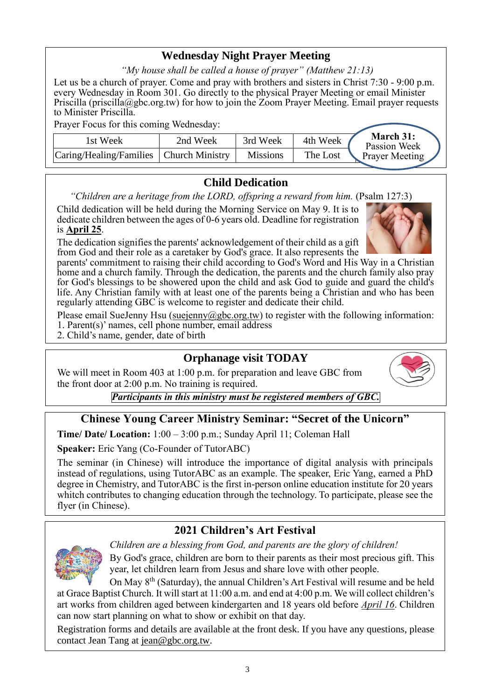### **Wednesday Night Prayer Meeting**

*"My house shall be called a house of prayer" (Matthew 21:13)*

Let us be a church of prayer. Come and pray with brothers and sisters in Christ 7:30 - 9:00 p.m. every Wednesday in Room 301. Go directly to the physical Prayer Meeting or email Minister Priscilla (priscilla@gbc.org.tw) for how to join the Zoom Prayer Meeting. Email prayer requests to Minister Priscilla.

Prayer Focus for this coming Wednesday:

| 1st Week                                  | 2nd Week | 3rd Week        | 4th Week | March 31:<br>Passion Week |
|-------------------------------------------|----------|-----------------|----------|---------------------------|
| Caring/Healing/Families   Church Ministry |          | <b>Missions</b> | The Lost | <b>Prayer Meeting</b>     |

#### **Child Dedication**

*"Children are a heritage from the LORD, offspring a reward from him.* (Psalm 127:3)

Child dedication will be held during the Morning Service on May 9. It is to dedicate children between the ages of 0-6 years old. Deadline for registration is **April 25**.

The dedication signifies the parents' acknowledgement of their child as a gift from God and their role as a caretaker by God's grace. It also represents the

parents' commitment to raising their child according to God's Word and His Way in a Christian home and a church family. Through the dedication, the parents and the church family also pray for God's blessings to be showered upon the child and ask God to guide and guard the child's life. Any Christian family with at least one of the parents being a Christian and who has been regularly attending GBC is welcome to register and dedicate their child.

Please email SueJenny Hsu [\(suejenny@gbc.org.tw\)](mailto:suejenny@gbc.org.tw) to register with the following information:

- 1. Parent(s)' names, cell phone number, email address
- 2. Child's name, gender, date of birth

#### **Orphanage visit TODAY**

We will meet in Room 403 at 1:00 p.m. for preparation and leave GBC from the front door at 2:00 p.m. No training is required.



## **Chinese Young Career Ministry Seminar: "Secret of the Unicorn"**

**Time/ Date/ Location:** 1:00 – 3:00 p.m.; Sunday April 11; Coleman Hall

**Speaker:** Eric Yang (Co-Founder of TutorABC)

The seminar (in Chinese) will introduce the importance of digital analysis with principals instead of regulations, using TutorABC as an example. The speaker, Eric Yang, earned a PhD degree in Chemistry, and TutorABC is the first in-person online education institute for 20 years whitch contributes to changing education through the technology. To participate, please see the flyer (in Chinese).

## **2021 Children's Art Festival**

*Children are a blessing from God, and parents are the glory of children!*

By God's grace, children are born to their parents as their most precious gift. This year, let children learn from Jesus and share love with other people.

On May 8th (Saturday), the annual Children's Art Festival will resume and be held at Grace Baptist Church. It will start at 11:00 a.m. and end at 4:00 p.m. We will collect children's art works from children aged between kindergarten and 18 years old before *April 16*. Children can now start planning on what to show or exhibit on that day.

Registration forms and details are available at the front desk. If you have any questions, please contact Jean Tang at [jean@gbc.org.tw.](mailto:jean@gbc.org.tw)



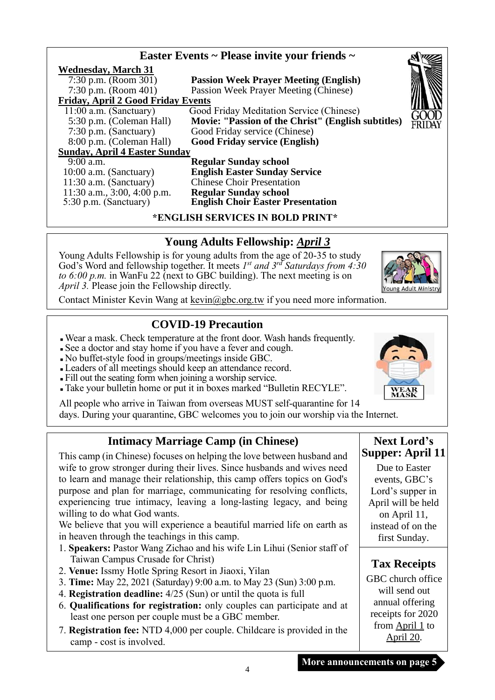|                                           | Easter Events ~ Please invite your friends ~       |        |
|-------------------------------------------|----------------------------------------------------|--------|
| <b>Wednesday, March 31</b>                |                                                    |        |
| 7:30 p.m. (Room 301)                      | <b>Passion Week Prayer Meeting (English)</b>       |        |
| 7:30 p.m. (Room $401$ )                   | Passion Week Prayer Meeting (Chinese)              |        |
| <b>Friday, April 2 Good Friday Events</b> |                                                    |        |
| $11:00$ a.m. (Sanctuary)                  | Good Friday Meditation Service (Chinese)           |        |
| 5:30 p.m. (Coleman Hall)                  | Movie: "Passion of the Christ" (English subtitles) | FRIDAY |
| $7:30$ p.m. (Sanctuary)                   | Good Friday service (Chinese)                      |        |
| 8:00 p.m. (Coleman Hall)                  | <b>Good Friday service (English)</b>               |        |
| <b>Sunday, April 4 Easter Sunday</b>      |                                                    |        |
| $9:00$ a.m.                               | <b>Regular Sunday school</b>                       |        |
| $10:00$ a.m. (Sanctuary)                  | <b>English Easter Sunday Service</b>               |        |
| $11:30$ a.m. (Sanctuary)                  | <b>Chinese Choir Presentation</b>                  |        |
| 11:30 a.m., $3:00, 4:00$ p.m.             | <b>Regular Sunday school</b>                       |        |
| 5:30 p.m. (Sanctuary)                     | <b>English Choir Easter Presentation</b>           |        |
|                                           | *ENGLISH SERVICES IN BOLD PRINT*                   |        |

#### **Young Adults Fellowship:** *April 3*

Young Adults Fellowship is for young adults from the age of 20-35 to study God's Word and fellowship together. It meets *I<sup>st</sup> and 3<sup>rd</sup> Saturdays from 4:30 to 6:00 p.m.* in WanFu 22 (next to GBC building). The next meeting is on *April 3.* Please join the Fellowship directly.



Contact Minister Kevin Wang at kevin@gbc.org.tw if you need more information.

#### **COVID-19 Precaution**

- <sup>◼</sup> Wear a mask. Check temperature at the front door. Wash hands frequently.
- See a doctor and stay home if you have a fever and cough.
- <sup>◼</sup> No buffet-style food in groups/meetings inside GBC.
- <sup>◼</sup> Leaders of all meetings should keep an attendance record.
- <sup>◼</sup> Fill out the seating form when joining a worship service.
- <sup>◼</sup> Take your bulletin home or put it in boxes marked "Bulletin RECYLE".

All people who arrive in Taiwan from overseas MUST self-quarantine for 14 days. During your quarantine, GBC welcomes you to join our worship via the Internet.

#### **Intimacy Marriage Camp (in Chinese)**

This camp (in Chinese) focuses on helping the love between husband and wife to grow stronger during their lives. Since husbands and wives need to learn and manage their relationship, this camp offers topics on God's purpose and plan for marriage, communicating for resolving conflicts, experiencing true intimacy, leaving a long-lasting legacy, and being willing to do what God wants.

We believe that you will experience a beautiful married life on earth as in heaven through the teachings in this camp.

- 1. **Speakers:** Pastor Wang Zichao and his wife Lin Lihui (Senior staff of Taiwan Campus Crusade for Christ)
- 2. **Venue:** Issmy Hotle Spring Resort in Jiaoxi, Yilan
- 3. **Time:** May 22, 2021 (Saturday) 9:00 a.m. to May 23 (Sun) 3:00 p.m.
- 4. **Registration deadline:** 4/25 (Sun) or until the quota is full
- 6. **Qualifications for registration:** only couples can participate and at least one person per couple must be a GBC member.
- 7. **Registration fee:** NTD 4,000 per couple. Childcare is provided in the camp - cost is involved.



Due to Easter events, GBC's Lord's supper in April will be held on April 11, instead of on the first Sunday.

## **Tax Receipts**

GBC church office will send out annual offering receipts for 2020 from  $April 1$  to April 20.

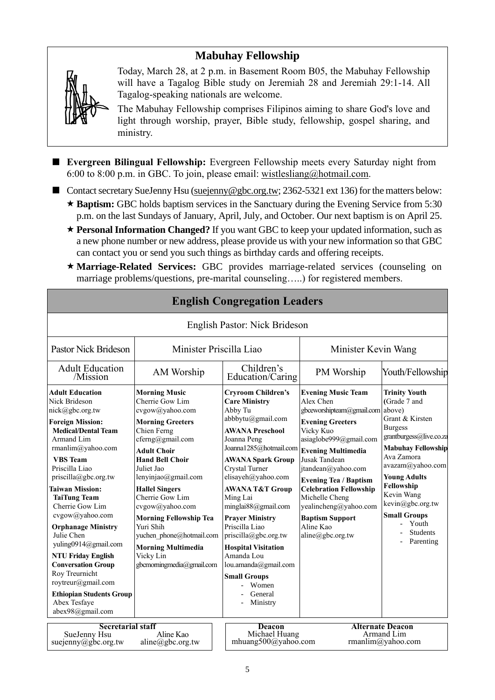## **Mabuhay Fellowship**



Today, March 28, at 2 p.m. in Basement Room B05, the Mabuhay Fellowship will have a Tagalog Bible study on Jeremiah 28 and Jeremiah 29:1-14. All Tagalog-speaking nationals are welcome.

The Mabuhay Fellowship comprises Filipinos aiming to share God's love and light through worship, prayer, Bible study, fellowship, gospel sharing, and ministry.

- **Evergreen Bilingual Fellowship:** Evergreen Fellowship meets every Saturday night from 6:00 to 8:00 p.m. in GBC. To join, please email: [wistlesliang@hotmail.com.](mailto:wistlesliang@hotmail.com)
- Contact secretary SueJenny Hsu [\(suejenny@gbc.org.tw;](mailto:suejenny@gbc.org.tw) 2362-5321 ext 136) for the matters below:
	- \* **Baptism:** GBC holds baptism services in the Sanctuary during the Evening Service from 5:30 p.m. on the last Sundays of January, April, July, and October. Our next baptism is on April 25.
	- **Personal Information Changed?** If you want GBC to keep your updated information, such as a new phone number or new address, please provide us with your new information so that GBC can contact you or send you such things as birthday cards and offering receipts.
	- **Marriage-Related Services:** GBC provides marriage-related services (counseling on marriage problems/questions, pre-marital counseling…..) for registered members.

| <b>English Congregation Leaders</b>                                                                                                                                                                                                                                                                                                                                                                                                                                                                                                                                |                                                                                                                                                                                                                                                                                                                                                                                                                               |                                                                                                                                                                                                                                                                                                                                                                                                                                                                                          |                                                                                                                                                                                                                                                                                                                                                                                         |                                                                                                                                                                                                                                                                                                            |  |
|--------------------------------------------------------------------------------------------------------------------------------------------------------------------------------------------------------------------------------------------------------------------------------------------------------------------------------------------------------------------------------------------------------------------------------------------------------------------------------------------------------------------------------------------------------------------|-------------------------------------------------------------------------------------------------------------------------------------------------------------------------------------------------------------------------------------------------------------------------------------------------------------------------------------------------------------------------------------------------------------------------------|------------------------------------------------------------------------------------------------------------------------------------------------------------------------------------------------------------------------------------------------------------------------------------------------------------------------------------------------------------------------------------------------------------------------------------------------------------------------------------------|-----------------------------------------------------------------------------------------------------------------------------------------------------------------------------------------------------------------------------------------------------------------------------------------------------------------------------------------------------------------------------------------|------------------------------------------------------------------------------------------------------------------------------------------------------------------------------------------------------------------------------------------------------------------------------------------------------------|--|
| English Pastor: Nick Brideson                                                                                                                                                                                                                                                                                                                                                                                                                                                                                                                                      |                                                                                                                                                                                                                                                                                                                                                                                                                               |                                                                                                                                                                                                                                                                                                                                                                                                                                                                                          |                                                                                                                                                                                                                                                                                                                                                                                         |                                                                                                                                                                                                                                                                                                            |  |
| <b>Pastor Nick Brideson</b>                                                                                                                                                                                                                                                                                                                                                                                                                                                                                                                                        | Minister Priscilla Liao                                                                                                                                                                                                                                                                                                                                                                                                       |                                                                                                                                                                                                                                                                                                                                                                                                                                                                                          | Minister Kevin Wang                                                                                                                                                                                                                                                                                                                                                                     |                                                                                                                                                                                                                                                                                                            |  |
| <b>Adult Education</b><br>/Mission                                                                                                                                                                                                                                                                                                                                                                                                                                                                                                                                 | AM Worship                                                                                                                                                                                                                                                                                                                                                                                                                    | Children's<br>Education/Caring                                                                                                                                                                                                                                                                                                                                                                                                                                                           |                                                                                                                                                                                                                                                                                                                                                                                         | Youth/Fellowship                                                                                                                                                                                                                                                                                           |  |
| <b>Adult Education</b><br>Nick Brideson<br>nick@gbc.org.tw<br><b>Foreign Mission:</b><br><b>Medical/Dental Team</b><br>Armand Lim<br>rmanlim@yahoo.com<br><b>VBS</b> Team<br>Priscilla Liao<br>$priscilla(\partial gbc.org.tw)$<br><b>Taiwan Mission:</b><br><b>TaiTung Team</b><br>Cherrie Gow Lim<br>cvgow@yahoo.com<br><b>Orphanage Ministry</b><br>Julie Chen<br>yuling0914@gmail.com<br><b>NTU Friday English</b><br><b>Conversation Group</b><br>Roy Treurnicht<br>roytreur@gmail.com<br><b>Ethiopian Students Group</b><br>Abex Tesfaye<br>abex98@gmail.com | <b>Morning Music</b><br>Cherrie Gow Lim<br>cvgow@yahoo.com<br><b>Morning Greeters</b><br>Chien Ferng<br>cferng@gmail.com<br><b>Adult Choir</b><br><b>Hand Bell Choir</b><br>Juliet Jao<br>lenyinjao@gmail.com<br><b>Hallel Singers</b><br>Cherrie Gow Lim<br>cvgow@yahoo.com<br><b>Morning Fellowship Tea</b><br>Yuri Shih<br>yuchen phone@hotmail.com<br><b>Morning Multimedia</b><br>Vicky Lin<br>gbcmorningmedia@gmail.com | <b>Cryroom Children's</b><br><b>Care Ministry</b><br>Abby Tu<br>abbbytu@gmail.com<br><b>AWANA Preschool</b><br>Joanna Peng<br>Joanna1285@hotmail.com<br><b>AWANA Spark Group</b><br>Crystal Turner<br>elisayeh@yahoo.com<br><b>AWANA T&amp;T Group</b><br>Ming Lai<br>minglai88@gmail.com<br><b>Prayer Ministry</b><br>Priscilla Liao<br>priscilla@gbc.org.tw<br><b>Hospital Visitation</b><br>Amanda Lou<br>lou.amanda@gmail.com<br><b>Small Groups</b><br>Women<br>General<br>Ministry | <b>Evening Music Team</b><br>Alex Chen<br>gbceworshipteam@gmail.com above)<br><b>Evening Greeters</b><br>Vicky Kuo<br>asiaglobe999@gmail.com<br><b>Evening Multimedia</b><br>Jusak Tandean<br>jtandean@yahoo.com<br><b>Evening Tea / Baptism</b><br><b>Celebration Fellowship</b><br>Michelle Cheng<br>yealincheng@yahoo.com<br><b>Baptism Support</b><br>Aline Kao<br>aline@gbc.org.tw | <b>Trinity Youth</b><br>(Grade 7 and<br>Grant & Kirsten<br><b>Burgess</b><br>grantburgess@live.co.za<br><b>Mabuhay Fellowship</b><br>Ava Zamora<br>avazam@yahoo.com<br><b>Young Adults</b><br>Fellowship<br>Kevin Wang<br>kevin@gbc.org.tw<br><b>Small Groups</b><br>Youth<br><b>Students</b><br>Parenting |  |
| <b>Secretarial staff</b><br>Aline Kao<br>SueJenny Hsu<br>suejenny@gbc.org.tw<br>$aline(\partial gbc.org.tw)$                                                                                                                                                                                                                                                                                                                                                                                                                                                       |                                                                                                                                                                                                                                                                                                                                                                                                                               | Deacon<br>Michael Huang<br>mhuang500@yahoo.com                                                                                                                                                                                                                                                                                                                                                                                                                                           |                                                                                                                                                                                                                                                                                                                                                                                         | <b>Alternate Deacon</b><br>Armand Lim<br>rmanlim@yahoo.com                                                                                                                                                                                                                                                 |  |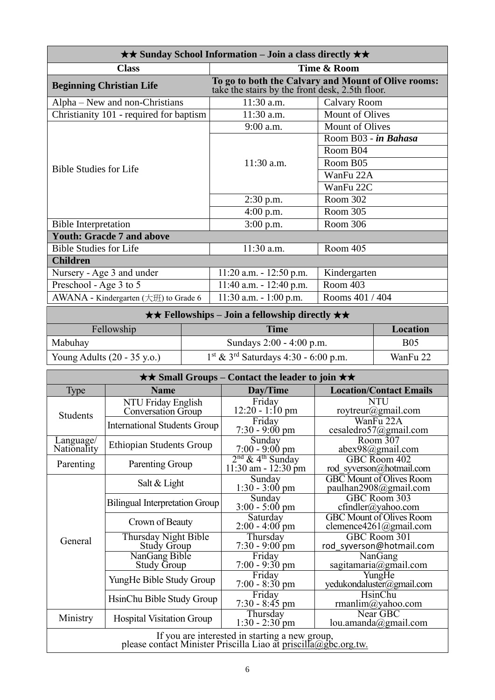| $\star\star$ Sunday School Information – Join a class directly $\star\star$ |                                                                                                        |                        |  |  |
|-----------------------------------------------------------------------------|--------------------------------------------------------------------------------------------------------|------------------------|--|--|
| <b>Class</b>                                                                | Time & Room                                                                                            |                        |  |  |
| <b>Beginning Christian Life</b>                                             | To go to both the Calvary and Mount of Olive rooms:<br>take the stairs by the front desk, 2.5th floor. |                        |  |  |
| Alpha – New and non-Christians                                              | $11:30$ a.m.                                                                                           | Calvary Room           |  |  |
| Christianity 101 - required for baptism                                     | 11:30 a.m.                                                                                             | Mount of Olives        |  |  |
|                                                                             | 9:00 a.m.                                                                                              | <b>Mount of Olives</b> |  |  |
|                                                                             |                                                                                                        | Room B03 - in Bahasa   |  |  |
|                                                                             |                                                                                                        | Room B04               |  |  |
| <b>Bible Studies for Life</b>                                               | $11:30$ a.m.                                                                                           | Room B05               |  |  |
|                                                                             |                                                                                                        | WanFu 22A              |  |  |
|                                                                             |                                                                                                        | WanFu 22C              |  |  |
|                                                                             | $2:30$ p.m.                                                                                            | Room 302               |  |  |
|                                                                             | $4:00$ p.m.                                                                                            | Room 305               |  |  |
| <b>Bible Interpretation</b>                                                 | $3:00$ p.m.                                                                                            | Room 306               |  |  |
| <b>Youth: Gracde 7 and above</b>                                            |                                                                                                        |                        |  |  |
| <b>Bible Studies for Life</b>                                               | 11:30 a.m.                                                                                             | Room 405               |  |  |
| <b>Children</b>                                                             |                                                                                                        |                        |  |  |
| Nursery - Age 3 and under                                                   | $11:20$ a.m. $-12:50$ p.m.                                                                             | Kindergarten           |  |  |
| Preschool - Age 3 to 5                                                      | $11:40$ a.m. $-12:40$ p.m.                                                                             | Room 403               |  |  |
| AWANA - Kindergarten $(\pm \text{H})$ to Grade 6                            | $11:30$ a.m. $-1:00$ p.m.                                                                              | Rooms 401 / 404        |  |  |

| $\star \star$ Fellowships – Join a fellowship directly $\star \star$                                    |                            |            |  |  |
|---------------------------------------------------------------------------------------------------------|----------------------------|------------|--|--|
| Fellowship<br>Time<br>Location                                                                          |                            |            |  |  |
| Mabuhay                                                                                                 | Sundays $2:00 - 4:00$ p.m. | <b>B05</b> |  |  |
| $1st$ & 3 <sup>rd</sup> Saturdays 4:30 - 6:00 p.m.<br>Young Adults $(20 - 35 \text{ y.o.})$<br>WanFu 22 |                            |            |  |  |

| $\star \star$ Small Groups – Contact the leader to join $\star \star$                                             |                                                                     |                                                                 |                                                                  |  |
|-------------------------------------------------------------------------------------------------------------------|---------------------------------------------------------------------|-----------------------------------------------------------------|------------------------------------------------------------------|--|
| <b>Type</b>                                                                                                       | <b>Name</b>                                                         | Day/Time                                                        | <b>Location/Contact Emails</b>                                   |  |
| <b>Students</b>                                                                                                   | NTU Friday English<br>Conversation Group                            | Friday<br>$12:20 - 1:10 \text{ pm}$                             | <b>NTU</b><br>roytreur@gmail.com                                 |  |
|                                                                                                                   | <b>International Students Group</b>                                 | Friday<br>$7:30 - 9:00 \text{ pm}$                              | WanFu 22A<br>cesaledro57@gmail.com                               |  |
| Language/<br>Nationality                                                                                          | <b>Ethiopian Students Group</b>                                     | Sunday<br>$7:00 - 9:00 \text{ pm}$                              | Room 307<br>abex98@gmail.com                                     |  |
| Parenting                                                                                                         | Parenting Group                                                     | 2 <sup>nd</sup> & 4 <sup>th</sup> Sunday<br>11:30 am - 12:30 pm | GBC Room 402<br>rod syverson@hotmail.com                         |  |
|                                                                                                                   | Salt & Light                                                        | Sunday<br>$1:30 - 3:00$ pm                                      | <b>GBC</b> Mount of Olives Room<br>paulhan2908@gmail.com         |  |
|                                                                                                                   | Sunday<br><b>Bilingual Interpretation Group</b><br>$3:00 - 5:00$ pm |                                                                 | GBC Room 303<br>$cfindler(a)$ yahoo.com                          |  |
|                                                                                                                   | Crown of Beauty                                                     | Saturday<br>$2:00 - 4:00$ pm                                    | <b>GBC</b> Mount of Olives Room<br>clemence $4261$ (a) gmail.com |  |
| General                                                                                                           | Thursday Night Bible<br>Study Group                                 | Thursday<br>$7:30 - 9:00$ pm                                    | GBC Room 301<br>rod syverson@hotmail.com                         |  |
|                                                                                                                   | NanGang Bible<br><b>Study Group</b>                                 | Friday<br>$7:00 - 9:30$ pm                                      | NanGang<br>sagitamaria@gmail.com                                 |  |
|                                                                                                                   | YungHe Bible Study Group                                            | Friday<br>$7:00 - 8:30$ pm                                      | YungHe<br>yedukondaluster@gmail.com                              |  |
|                                                                                                                   | HsinChu Bible Study Group                                           | Friday<br>$7:30 - 8:45$ pm                                      | <b>HsinChu</b><br>rmanlim@yahoo.com                              |  |
| Ministry                                                                                                          | <b>Hospital Visitation Group</b>                                    | Thursday<br>$1:30 - 2:30$ pm                                    | Near GBC<br>lou. amanda@gmail.com                                |  |
| If you are interested in starting a new group,<br>please contact Minister Priscilla Liao at priscilla@gbc.org.tw. |                                                                     |                                                                 |                                                                  |  |